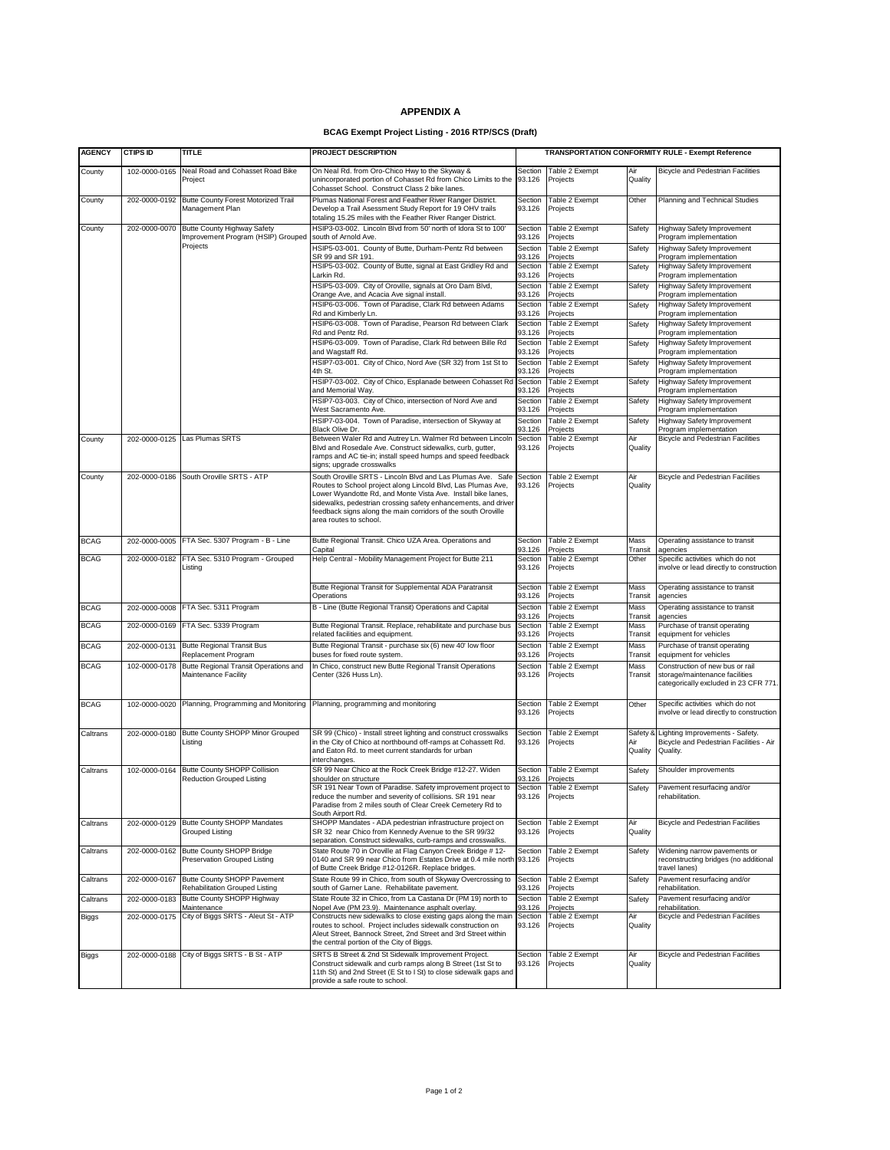## **APPENDIX A**

## **BCAG Exempt Project Listing - 2016 RTP/SCS (Draft)**

| <b>AGENCY</b> | <b>CTIPS ID</b> | TITLE                                                                         | PROJECT DESCRIPTION                                                                                                                                                                                                                                                                                                                                      |                   |                                    |                 | TRANSPORTATION CONFORMITY RULE - Exempt Reference                                                          |
|---------------|-----------------|-------------------------------------------------------------------------------|----------------------------------------------------------------------------------------------------------------------------------------------------------------------------------------------------------------------------------------------------------------------------------------------------------------------------------------------------------|-------------------|------------------------------------|-----------------|------------------------------------------------------------------------------------------------------------|
| County        | 102-0000-0165   | Neal Road and Cohasset Road Bike<br>Project                                   | On Neal Rd. from Oro-Chico Hwy to the Skyway &<br>unincorporated portion of Cohasset Rd from Chico Limits to the<br>Cohasset School. Construct Class 2 bike lanes.                                                                                                                                                                                       | Section<br>93.126 | Table 2 Exempt<br>Projects         | Air<br>Quality  | <b>Bicycle and Pedestrian Facilities</b>                                                                   |
| County        | 202-0000-0192   | Butte County Forest Motorized Trail<br>Management Plan                        | Plumas National Forest and Feather River Ranger District.<br>Develop a Trail Asessment Study Report for 19 OHV trails<br>totaling 15.25 miles with the Feather River Ranger District.                                                                                                                                                                    | Section<br>93.126 | Table 2 Exempt<br>Projects         | Other           | Planning and Technical Studies                                                                             |
| County        | 202-0000-0070   | Butte County Highway Safety<br>Improvement Program (HSIP) Grouped<br>Projects | HSIP3-03-002. Lincoln Blyd from 50' north of Idora St to 100'<br>south of Arnold Ave.                                                                                                                                                                                                                                                                    | Section<br>93.126 | Table 2 Exempt<br>Projects         | Safety          | Highway Safety Improvement<br>Program implementation                                                       |
|               |                 |                                                                               | HSIP5-03-001. County of Butte, Durham-Pentz Rd between<br>SR 99 and SR 191.                                                                                                                                                                                                                                                                              | Section<br>93.126 | Table 2 Exempt<br>Projects         | Safety          | Highway Safety Improvement<br>Program implementation                                                       |
|               |                 |                                                                               | HSIP5-03-002. County of Butte, signal at East Gridley Rd and<br>Larkin Rd.                                                                                                                                                                                                                                                                               | Section<br>93.126 | Table 2 Exempt<br>Projects         | Safety          | Highway Safety Improvement<br>Program implementation                                                       |
|               |                 |                                                                               | HSIP5-03-009. City of Oroville, signals at Oro Dam Blvd,<br>Orange Ave, and Acacia Ave signal install.                                                                                                                                                                                                                                                   | Section<br>93.126 | Table 2 Exempt<br>Projects         | Safety          | Highway Safety Improvement<br>Program implementation                                                       |
|               |                 |                                                                               | HSIP6-03-006. Town of Paradise, Clark Rd between Adams<br>Rd and Kimberly Ln.                                                                                                                                                                                                                                                                            | Section<br>93.126 | Table 2 Exempt<br>Projects         | Safety          | Highway Safety Improvement<br>Program implementation                                                       |
|               |                 |                                                                               | HSIP6-03-008. Town of Paradise, Pearson Rd between Clark<br>Rd and Pentz Rd.                                                                                                                                                                                                                                                                             | Section<br>93.126 | Table 2 Exempt<br>Projects         | Safety          | Highway Safety Improvement<br>Program implementation                                                       |
|               |                 |                                                                               | HSIP6-03-009. Town of Paradise, Clark Rd between Bille Rd<br>and Wagstaff Rd.                                                                                                                                                                                                                                                                            | Section<br>93.126 | Table 2 Exempt<br>Projects         | Safety          | Highway Safety Improvement<br>Program implementation                                                       |
|               |                 |                                                                               | HSIP7-03-001. City of Chico, Nord Ave (SR 32) from 1st St to<br>4th St.                                                                                                                                                                                                                                                                                  | Section<br>93.126 | Table 2 Exempt<br>Projects         | Safety          | Highway Safety Improvement<br>Program implementation                                                       |
|               |                 |                                                                               | HSIP7-03-002. City of Chico, Esplanade between Cohasset Rd<br>and Memorial Way.                                                                                                                                                                                                                                                                          | Section<br>93.126 | Table 2 Exempt<br>Projects         | Safety          | Highway Safety Improvement<br>Program implementation                                                       |
|               |                 |                                                                               | HSIP7-03-003. City of Chico, intersection of Nord Ave and                                                                                                                                                                                                                                                                                                | Section           | Table 2 Exempt                     | Safety          | Highway Safety Improvement                                                                                 |
|               |                 |                                                                               | West Sacramento Ave.<br>HSIP7-03-004. Town of Paradise, intersection of Skyway at                                                                                                                                                                                                                                                                        | 93.126<br>Section | Projects<br>Table 2 Exempt         | Safety          | Program implementation<br>Highway Safety Improvement                                                       |
| County        |                 | 202-0000-0125 Las Plumas SRTS                                                 | Black Olive Dr.<br>Between Waler Rd and Autrey Ln. Walmer Rd between Lincoln                                                                                                                                                                                                                                                                             | 93.126<br>Section | Projects<br>Table 2 Exempt         | Air             | Program implementation<br><b>Bicycle and Pedestrian Facilities</b>                                         |
|               |                 |                                                                               | Blvd and Rosedale Ave. Construct sidewalks, curb, gutter,<br>ramps and AC tie-in; install speed humps and speed feedback<br>signs; upgrade crosswalks                                                                                                                                                                                                    | 93.126            | Projects                           | Quality         |                                                                                                            |
| County        | 202-0000-0186   | South Oroville SRTS - ATP                                                     | South Oroville SRTS - Lincoln Blvd and Las Plumas Ave. Safe<br>Routes to School project along Lincold Blvd, Las Plumas Ave,<br>Lower Wyandotte Rd, and Monte Vista Ave. Install bike lanes,<br>sidewalks, pedestrian crossing safety enhancements, and driver<br>feedback signs along the main corridors of the south Oroville<br>area routes to school. | Section<br>93.126 | Table 2 Exempt<br>Projects         | Air<br>Quality  | <b>Bicycle and Pedestrian Facilities</b>                                                                   |
| <b>BCAG</b>   | 202-0000-0005   | FTA Sec. 5307 Program - B - Line                                              | Butte Regional Transit. Chico UZA Area. Operations and<br>Capital                                                                                                                                                                                                                                                                                        | Section<br>33.126 | Table 2 Exempt<br>Projects         | Mass<br>Transit | Operating assistance to transit<br>agencies                                                                |
| <b>BCAG</b>   | 202-0000-0182   | FTA Sec. 5310 Program - Grouped<br>Listing                                    | Help Central - Mobility Management Project for Butte 211                                                                                                                                                                                                                                                                                                 | Section<br>93.126 | Table 2 Exempt<br>Projects         | Other           | Specific activities which do not<br>involve or lead directly to construction                               |
|               |                 |                                                                               | Butte Regional Transit for Supplemental ADA Paratransit<br>Operations                                                                                                                                                                                                                                                                                    | Section<br>93.126 | Table 2 Exempt<br>Projects         | Mass<br>Transit | Operating assistance to transit<br>agencies                                                                |
| <b>BCAG</b>   |                 | 202-0000-0008 FTA Sec. 5311 Program                                           | B - Line (Butte Regional Transit) Operations and Capital                                                                                                                                                                                                                                                                                                 | Section<br>93.126 | Table 2 Exempt<br>Projects         | Mass<br>Transit | Operating assistance to transit<br>agencies                                                                |
| <b>BCAG</b>   |                 | 202-0000-0169 FTA Sec. 5339 Program                                           | Butte Regional Transit. Replace, rehabilitate and purchase bus<br>related facilities and equipment.                                                                                                                                                                                                                                                      | Section<br>93.126 | Table 2 Exempt<br>Projects         | Mass<br>Transit | Purchase of transit operating<br>equipment for vehicles                                                    |
| <b>BCAG</b>   | 202-0000-0131   | <b>Butte Regional Transit Bus</b><br>Replacement Program                      | Butte Regional Transit - purchase six (6) new 40' low floor<br>buses for fixed route system.                                                                                                                                                                                                                                                             | Section<br>93.126 | Table 2 Exempt<br>Projects         | Mass<br>Transit | Purchase of transit operating<br>equipment for vehicles                                                    |
| <b>BCAG</b>   | 102-0000-0178   | Butte Regional Transit Operations and<br>Maintenance Facility                 | In Chico, construct new Butte Regional Transit Operations<br>Center (326 Huss Ln).                                                                                                                                                                                                                                                                       | Section<br>93.126 | Table 2 Exempt<br>Projects         | Mass<br>Transit | Construction of new bus or rail<br>storage/maintenance facilities<br>categorically excluded in 23 CFR 771. |
| <b>BCAG</b>   | 102-0000-0020   | Planning, Programming and Monitoring                                          | Planning, programming and monitoring                                                                                                                                                                                                                                                                                                                     | Section<br>93.126 | Table 2 Exempt<br>Projects         | Other           | Specific activities which do not<br>involve or lead directly to construction                               |
| Caltrans      | 202-0000-0180   | Butte County SHOPP Minor Grouped<br>Listing                                   | SR 99 (Chico) - Install street lighting and construct crosswalks<br>in the City of Chico at northbound off-ramps at Cohassett Rd.<br>and Eaton Rd. to meet current standards for urban<br>interchanges.                                                                                                                                                  | Section<br>93.126 | Table 2 Exempt<br>Projects         | Air<br>Quality  | Safety & Lighting Improvements - Safety.<br>Bicycle and Pedestrian Facilities - Air<br>Quality.            |
| Caltrans      | 102-0000-0164   | Butte County SHOPP Collision<br>Reduction Grouped Listing                     | SR 99 Near Chico at the Rock Creek Bridge #12-27. Widen<br>shoulder on structure                                                                                                                                                                                                                                                                         | Section<br>93.126 | Table 2 Exempt<br>Projects         | Safety          | Shoulder improvements                                                                                      |
|               |                 |                                                                               | SR 191 Near Town of Paradise. Safety improvement project to<br>reduce the number and severity of collisions. SR 191 near<br>Paradise from 2 miles south of Clear Creek Cemetery Rd to<br>South Airport Rd.                                                                                                                                               | 93.126            | Section Table 2 Exempt<br>Projects | Safety          | Pavement resurfacing and/or<br>rehabilitation.                                                             |
| Caltrans      | 202-0000-0129   | <b>Butte County SHOPP Mandates</b><br>Grouped Listing                         | SHOPP Mandates - ADA pedestrian infrastructure project on<br>SR 32 near Chico from Kennedy Avenue to the SR 99/32<br>separation. Construct sidewalks, curb-ramps and crosswalks.                                                                                                                                                                         | Section<br>93.126 | Table 2 Exempt<br>Projects         | Air<br>Quality  | <b>Bicycle and Pedestrian Facilities</b>                                                                   |
| Caltrans      | 202-0000-0162   | Butte County SHOPP Bridge<br>Preservation Grouped Listing                     | State Route 70 in Oroville at Flag Canyon Creek Bridge # 12-<br>0140 and SR 99 near Chico from Estates Drive at 0.4 mile north<br>of Butte Creek Bridge #12-0126R. Replace bridges.                                                                                                                                                                      | Section<br>93.126 | Table 2 Exempt<br>Projects         | Safety          | Widening narrow pavements or<br>reconstructing bridges (no additional<br>travel lanes)                     |
| Caltrans      | 202-0000-0167   | Butte County SHOPP Pavement<br>Rehabilitation Grouped Listing                 | State Route 99 in Chico, from south of Skyway Overcrossing to<br>south of Garner Lane. Rehabilitate pavement.                                                                                                                                                                                                                                            | Section<br>93.126 | Table 2 Exempt<br>Projects         | Safety          | Pavement resurfacing and/or<br>rehabilitation.                                                             |
| Caltrans      | 202-0000-0183   | Butte County SHOPP Highway<br>Maintenance                                     | State Route 32 in Chico, from La Castana Dr (PM 19) north to<br>Nopel Ave (PM 23.9). Maintenance asphalt overlay.                                                                                                                                                                                                                                        | Section<br>33.126 | Table 2 Exempt<br>Projects         | Safety          | Pavement resurfacing and/or<br>rehabilitation.                                                             |
| <b>Biggs</b>  | 202-0000-0175   | City of Biggs SRTS - Aleut St - ATP                                           | Constructs new sidewalks to close existing gaps along the main<br>routes to school. Project includes sidewalk construction on<br>Aleut Street, Bannock Street, 2nd Street and 3rd Street within<br>the central portion of the City of Biggs.                                                                                                             | Section<br>93.126 | Table 2 Exempt<br>Projects         | Air<br>Quality  | Bicycle and Pedestrian Facilities                                                                          |
| <b>Biggs</b>  | 202-0000-0188   | City of Biggs SRTS - B St - ATP                                               | SRTS B Street & 2nd St Sidewalk Improvement Project.<br>Construct sidewalk and curb ramps along B Street (1st St to<br>11th St) and 2nd Street (E St to I St) to close sidewalk gaps and<br>provide a safe route to school.                                                                                                                              | Section<br>93.126 | <b>Table 2 Exempt</b><br>Projects  | Air<br>Quality  | <b>Bicycle and Pedestrian Facilities</b>                                                                   |